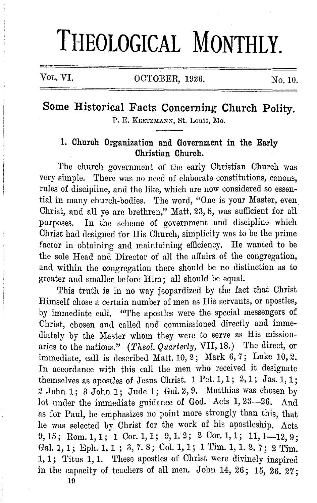# **THEOLOGICAL MONTHLY.**

Vol. VI. 0CTOBER, 1926. No. 10.

## Some Historical Facts Concerning Church Polity. P. E. KRETZMANN, St. Louis, Mo.

### **1. Church Organization and Government in the Early Christian Church.**

The church government of the early Christian Church was very simple. There was no need of elaborate constitutions, canons, rules of discipline, and the like, which are now considered so essential in many church-bodies. The word, "One is your Master, even. Christ, and all ye are brethren," Matt. 23, 8, was sufficient for all purposes. In the scheme of government and discipline which Christ had designed for His Church, simplicity was to be the prime factor in obtaining and maintaining efficiency. He wanted to be the sole Head and Director of all the affairs of the congregation, and within the congregation there should be no distinction as to greater and smaller before Him; all should be equal.

'l'his truth is in no way jeopardized by the fact that Christ Himself chose a certain number of men as His servants, or apostles, by immediate call. "The apostles were the special messengers of Christ, chosen and called and commissioned directly and immediately by the Master whom they were to serve as His missionaries to the nations." (*Theol. Quarterly*, VII, 18.) The direct, or immediate, call is described Matt. 10, 2; Mark 6, 7; Luke 10, 2. In accordance with this call the men who received it designate themselves as apostles of Jesus Christ. 1 Pet. 1, 1; 2, 1; Jas. 1, 1; 2 John 1; 3 John 1; Jude 1; Gal. 2, 9. Matthias was chosen by lot under the immediate guidance of God. Acts 1, 23-26. And as for Paul, he emphasizes no point more strongly than this, that he was selected by Christ for the work of his apostleship. Acts 9, 15; Rom, 1, 1; 1 Cor. 1, 1; 9, 1. 2; 2 Cor. 1, 1; 11, 1-12, 9; Gal. 1, 1; Eph. 1, 1; 3, 7. 8; Col. 1, 1; 1 Tim. 1, 1. 2. 7; 2 Tim. 1, 1; Titus 1, 1. These apostles of Christ were divinely inspired in the capacity of teachers of all men. John 14, 26; 15, 26. 27;

10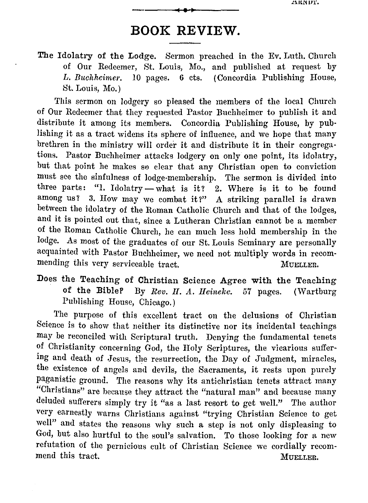## **BOOK REVIEW.**

The Idolatry of the Lodge. Sermon preached in the Ev. Luth. Church of Our Redeemer, St. Louis, Mo., and published at request by L. Buchheimer. 10 pages. 6 cts. (Concordia Publishing House. *I*, Concordia Publishing House, St. Louis, Mo.)

This sermon on lodgery so pleased the members of the local Church of Our Redeemer that they requested Pastor Buchheimer to publish it and distribute it among its members. Concordia Publishing House, by publishing it as a tract widens its sphere of influence, and we hope that many brethren in the ministry will order it and distribute it in their congregations. Pastor Buchheimer attacks lodgery on only one point, its idolatry, but that point he makes se clear that any Christian open to conviction must see the sinfulness of lodge-membership. The sermon is divided into three parts: "1. Idolatry - what is it?  $2$ . Where is it to be found among us? 3. How may we combat it?" A striking parallel is drawn between the idolatry of the Roman Catholic Church and that of the lodges, and it is pointed out that, since a Lutheran Christian cannot be a member of the Roman Catholic Church, he can much less hold membership in the lodge. As most of the graduates of our St. Louis Seminary are personally acquainted with Pastor Buchheimer, we need not multiply words in recommending this very serviceable tract. MUELLER.

#### Does the Teaching of Christian Science Agree with the Teaching of the BibleP By *Rev. H. A. Heinekc.* 57 pages. (Wartburg Publishing House, Chicago.)

The purpose of this excellent tract on the delusions of Christian Science is to show that neither its distinctive nor its incidental teachings may be reconciled with Scriptural truth. Denying the fundamental tenets of Christianity concerning God, the Holy Scriptures, the vicarious suffering and death of Jesus, the resurrection, the Day of Judgment, miracles, the existence of angels and devils, the Sacraments, it rests upon purely paganistic ground. The reasons why its antichristian tenets attract many "Christians" are because they attract the "natural man" and because many deluded sufferers simply try it "as a last resort to get well." The author very earnestly warns Christians against "trying Christian Science to get well" and states the reasons why such a step is not only displeasing to God, but also hurtful to the soul's salvation. To those looking for a new refutation of the pernicious cult of Christian Science we cordially recommend this tract. MUELLER.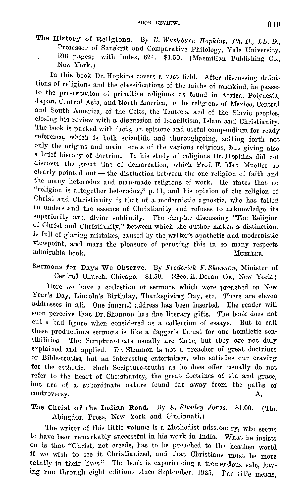The History of Religions. By *E. Washburn Hopkins, Ph. D., LL. D.*, Professor of Sanskrit and Comparative Philology, Yale University. 596 pages; with Index, 624. \$1.50. (Macmillan Publishing Co., New York.)

In this book Dr. Hopkins covers a vast field. After discussing definitions of religions and the classifications of the faiths of mankind, he passes to the presentation of primitive religions as found in Africa, Polynesia, Japan, Central Asia, and North America, to the religions of Mexico, Central and South America, of the Celts, the Teutons, and of the Slavic peoples, closing his review with a discussion of Israelitism, Islam and Christianity. The book is packed with facts, an epitome and useful compendium for ready reference, which is both scientific and thoroughgoing, setting forth not only the origins and main tenets of the various religions, but giving also a brief history of doctrine. In his study of religions Dr. Hopkins did not discover the great line of demarcation, which Prof. F. Max Mueller so clearly pointed out - the distinction between the one religion of faith and the many heterodox and man-made religions of work. He states that no "religion is altogether heterodox," p. 11, and his opinion of the religion of Christ and Christianity is that of a modernistic agnostic, who has failed to understand the essence of Christianity and refuses to acknowledge its superiority and divine sublimity. The chapter discussing "The Religion of Christ and Christianity," between which the author makes a distinction, is full of glaring mistakes, caused by the writer's apathetic and modernistic viewpoint, and mars the pleasure of perusing this in so many respects admirable book. The contract of the contract of the multiple book.

Sermons for Days We Observe. By *Frederick F. Shannon*, Minister of Central Church, Chicago. \$1.50. (Geo. H. Doran Co., New York.)

Here we have a collection of sermons which were preached on New Year's Day, Lincoln's Birthday, Thanksgiving Day, etc. There are eleven addresses in all. One funeral address has been inserted. The reader will soon perceive that Dr. Shannon has fine literary gifts. The book does not cut a bad figure when considered as a collection of essays. But to call these productions sermons is like a dagger's thrust for our homiletic sensibilities. The Scripture-texts usually are there, but they are not duly explained and applied. Dr. Shannon is not a preacher of great doctrines or Bible-truths, but an interesting entertainer, who satisfies our craving for the esthetic. Such Scripture-truths as he does offer usually do not refer to the heart of Christianity, the great doctrines of sin and grace, but are of a subordinate nature found far away from the paths of controversy. A.

The Christ of the Indian Road. By *E. Stanley Jones.* \$1.00. (The Abingdon Press, New York and Cincinnati.)

The writer of this little volume is a Methodist missionary, who seems to have been remarkably successful in his work in India. What he insists on is that "Christ, not creeds, has to be preached to the heathen world if we wish to see it Christianized, and that Christians must be more saintly in their lives." The book is experiencing a tremendous sale, having run through eight editions since September, 1925. The title means,